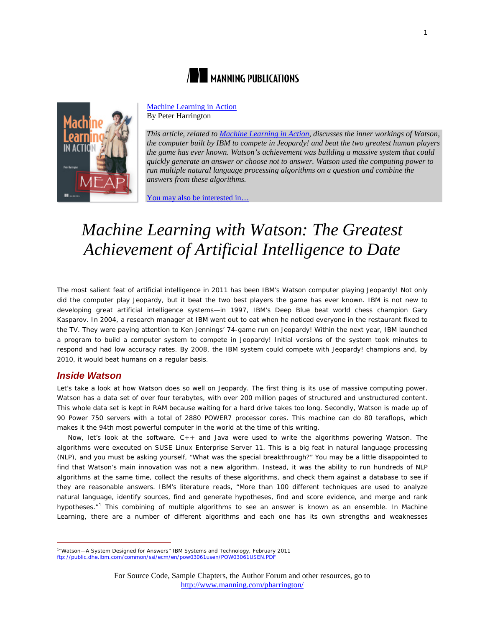



[Machine Learning in Action](http://www.manning.com/pharrington/) By Peter Harrington

*This article, related to [Machine Learning in Action,](http://www.manning.com/pharrington/) discusses the inner workings of Watson, the computer built by IBM to compete in Jeopardy! and beat the two greatest human players the game has ever known. Watson's achievement was building a massive system that could quickly generate an answer or choose not to answer. Watson used the computing power to run multiple natural language processing algorithms on a question and combine the answers from these algorithms.* 

[You may also be interested in…](#page-2-0)

# *Machine Learning with Watson: The Greatest Achievement of Artificial Intelligence to Date*

The most salient feat of artificial intelligence in 2011 has been IBM's Watson computer playing Jeopardy! Not only did the computer play Jeopardy, but it beat the two best players the game has ever known. IBM is not new to developing great artificial intelligence systems—in 1997, IBM's Deep Blue beat world chess champion Gary Kasparov. In 2004, a research manager at IBM went out to eat when he noticed everyone in the restaurant fixed to the TV. They were paying attention to Ken Jennings' 74-game run on Jeopardy! Within the next year, IBM launched a program to build a computer system to compete in Jeopardy! Initial versions of the system took minutes to respond and had low accuracy rates. By 2008, the IBM system could compete with Jeopardy! champions and, by 2010, it would beat humans on a regular basis.

### *Inside Watson*

Let's take a look at how Watson does so well on Jeopardy. The first thing is its use of massive computing power. Watson has a data set of over four terabytes, with over 200 million pages of structured and unstructured content. This whole data set is kept in RAM because waiting for a hard drive takes too long. Secondly, Watson is made up of 90 Power 750 servers with a total of 2880 POWER7 processor cores. This machine can do 80 teraflops, which makes it the 94th most powerful computer in the world at the time of this writing.

Now, let's look at the software. C++ and Java were used to write the algorithms powering Watson. The algorithms were executed on SUSE Linux Enterprise Server 11. This is a big feat in natural language processing (NLP), and you must be asking yourself, "What was the special breakthrough?" You may be a little disappointed to find that Watson's main innovation was not a new algorithm. Instead, it was the ability to run hundreds of NLP algorithms at the same time, collect the results of these algorithms, and check them against a database to see if they are reasonable answers. IBM's literature reads, "More than 100 different techniques are used to analyze natural language, identify sources, find and generate hypotheses, find and score evidence, and merge and rank hypotheses."<sup>[1](#page-0-0)</sup> This combining of multiple algorithms to see an answer is known as an ensemble. In Machine Learning, there are a number of different algorithms and each one has its own strengths and weaknesses

<span id="page-0-0"></span><sup>1</sup> "Watson—A System Designed for Answers" IBM Systems and Technology, February 2011

<ftp://public.dhe.ibm.com/common/ssi/ecm/en/pow03061usen/POW03061USEN.PDF>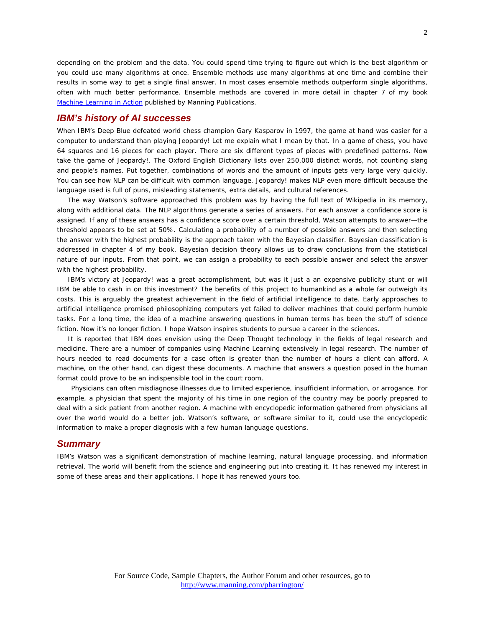depending on the problem and the data. You could spend time trying to figure out which is the best algorithm or you could use many algorithms at once. Ensemble methods use many algorithms at one time and combine their results in some way to get a single final answer. In most cases ensemble methods outperform single algorithms, often with much better performance. Ensemble methods are covered in more detail in chapter 7 of my book *[Machine Learning in Action](http://www.manning.com/pharrington)* published by Manning Publications.

#### *IBM's history of AI successes*

When IBM's Deep Blue defeated world chess champion Gary Kasparov in 1997, the game at hand was easier for a computer to understand than playing Jeopardy! Let me explain what I mean by that. In a game of chess, you have 64 squares and 16 pieces for each player. There are six different types of pieces with predefined patterns. Now take the game of Jeopardy!. The Oxford English Dictionary lists over 250,000 distinct words, not counting slang and people's names. Put together, combinations of words and the amount of inputs gets very large very quickly. You can see how NLP can be difficult with common language. Jeopardy! makes NLP even more difficult because the language used is full of puns, misleading statements, extra details, and cultural references.

The way Watson's software approached this problem was by having the full text of Wikipedia in its memory, along with additional data. The NLP algorithms generate a series of answers. For each answer a confidence score is assigned. If any of these answers has a confidence score over a certain threshold, Watson attempts to answer—the threshold appears to be set at 50%. Calculating a probability of a number of possible answers and then selecting the answer with the highest probability is the approach taken with the Bayesian classifier. Bayesian classification is addressed in chapter 4 of my book. Bayesian decision theory allows us to draw conclusions from the statistical nature of our inputs. From that point, we can assign a probability to each possible answer and select the answer with the highest probability.

IBM's victory at Jeopardy! was a great accomplishment, but was it just a an expensive publicity stunt or will IBM be able to cash in on this investment? The benefits of this project to humankind as a whole far outweigh its costs. This is arguably the greatest achievement in the field of artificial intelligence to date. Early approaches to artificial intelligence promised philosophizing computers yet failed to deliver machines that could perform humble tasks. For a long time, the idea of a machine answering questions in human terms has been the stuff of science fiction. Now it's no longer fiction. I hope Watson inspires students to pursue a career in the sciences.

It is reported that IBM does envision using the Deep Thought technology in the fields of legal research and medicine. There are a number of companies using Machine Learning extensively in legal research. The number of hours needed to read documents for a case often is greater than the number of hours a client can afford. A machine, on the other hand, can digest these documents. A machine that answers a question posed in the human format could prove to be an indispensible tool in the court room.

Physicians can often misdiagnose illnesses due to limited experience, insufficient information, or arrogance. For example, a physician that spent the majority of his time in one region of the country may be poorly prepared to deal with a sick patient from another region. A machine with encyclopedic information gathered from physicians all over the world would do a better job. Watson's software, or software similar to it, could use the encyclopedic information to make a proper diagnosis with a few human language questions.

#### *Summary*

IBM's Watson was a significant demonstration of machine learning, natural language processing, and information retrieval. The world will benefit from the science and engineering put into creating it. It has renewed my interest in some of these areas and their applications. I hope it has renewed yours too.